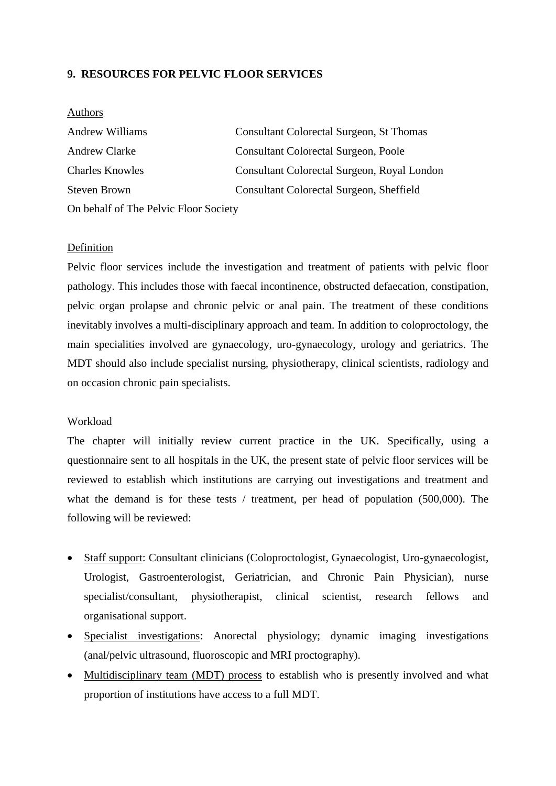# **9. RESOURCES FOR PELVIC FLOOR SERVICES**

#### Authors

| <b>Andrew Williams</b>                | Consultant Colorectal Surgeon, St Thomas    |  |  |
|---------------------------------------|---------------------------------------------|--|--|
| <b>Andrew Clarke</b>                  | <b>Consultant Colorectal Surgeon, Poole</b> |  |  |
| <b>Charles Knowles</b>                | Consultant Colorectal Surgeon, Royal London |  |  |
| Steven Brown                          | Consultant Colorectal Surgeon, Sheffield    |  |  |
| On behalf of The Pelvic Floor Society |                                             |  |  |

### Definition

Pelvic floor services include the investigation and treatment of patients with pelvic floor pathology. This includes those with faecal incontinence, obstructed defaecation, constipation, pelvic organ prolapse and chronic pelvic or anal pain. The treatment of these conditions inevitably involves a multi-disciplinary approach and team. In addition to coloproctology, the main specialities involved are gynaecology, uro-gynaecology, urology and geriatrics. The MDT should also include specialist nursing, physiotherapy, clinical scientists, radiology and on occasion chronic pain specialists.

#### Workload

The chapter will initially review current practice in the UK. Specifically, using a questionnaire sent to all hospitals in the UK, the present state of pelvic floor services will be reviewed to establish which institutions are carrying out investigations and treatment and what the demand is for these tests / treatment, per head of population (500,000). The following will be reviewed:

- Staff support: Consultant clinicians (Coloproctologist, Gynaecologist, Uro-gynaecologist, Urologist, Gastroenterologist, Geriatrician, and Chronic Pain Physician), nurse specialist/consultant, physiotherapist, clinical scientist, research fellows and organisational support.
- Specialist investigations: Anorectal physiology; dynamic imaging investigations (anal/pelvic ultrasound, fluoroscopic and MRI proctography).
- Multidisciplinary team (MDT) process to establish who is presently involved and what proportion of institutions have access to a full MDT.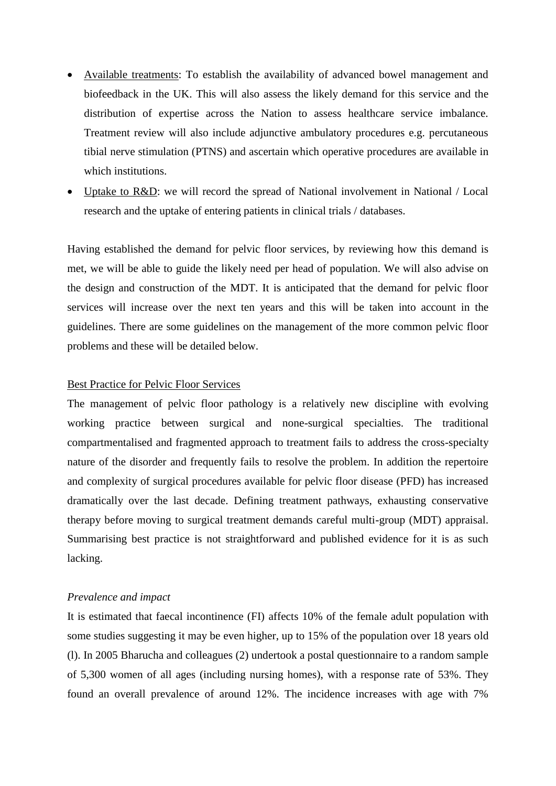- Available treatments: To establish the availability of advanced bowel management and biofeedback in the UK. This will also assess the likely demand for this service and the distribution of expertise across the Nation to assess healthcare service imbalance. Treatment review will also include adjunctive ambulatory procedures e.g. percutaneous tibial nerve stimulation (PTNS) and ascertain which operative procedures are available in which institutions.
- Uptake to R&D: we will record the spread of National involvement in National / Local research and the uptake of entering patients in clinical trials / databases.

Having established the demand for pelvic floor services, by reviewing how this demand is met, we will be able to guide the likely need per head of population. We will also advise on the design and construction of the MDT. It is anticipated that the demand for pelvic floor services will increase over the next ten years and this will be taken into account in the guidelines. There are some guidelines on the management of the more common pelvic floor problems and these will be detailed below.

## Best Practice for Pelvic Floor Services

The management of pelvic floor pathology is a relatively new discipline with evolving working practice between surgical and none-surgical specialties. The traditional compartmentalised and fragmented approach to treatment fails to address the cross-specialty nature of the disorder and frequently fails to resolve the problem. In addition the repertoire and complexity of surgical procedures available for pelvic floor disease (PFD) has increased dramatically over the last decade. Defining treatment pathways, exhausting conservative therapy before moving to surgical treatment demands careful multi-group (MDT) appraisal. Summarising best practice is not straightforward and published evidence for it is as such lacking.

#### *Prevalence and impact*

It is estimated that faecal incontinence (FI) affects 10% of the female adult population with some studies suggesting it may be even higher, up to 15% of the population over 18 years old (l). In 2005 Bharucha and colleagues (2) undertook a postal questionnaire to a random sample of 5,300 women of all ages (including nursing homes), with a response rate of 53%. They found an overall prevalence of around 12%. The incidence increases with age with 7%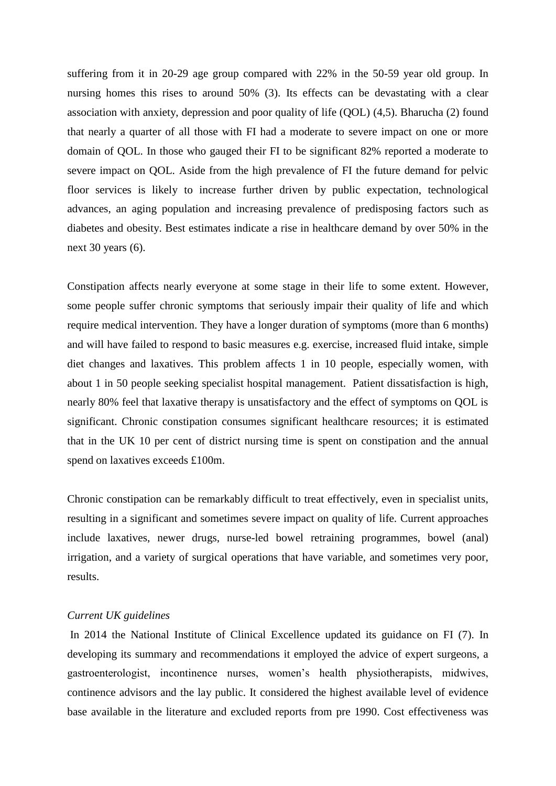suffering from it in 20-29 age group compared with 22% in the 50-59 year old group. In nursing homes this rises to around 50% (3). Its effects can be devastating with a clear association with anxiety, depression and poor quality of life (QOL) (4,5). Bharucha (2) found that nearly a quarter of all those with FI had a moderate to severe impact on one or more domain of QOL. In those who gauged their FI to be significant 82% reported a moderate to severe impact on QOL. Aside from the high prevalence of FI the future demand for pelvic floor services is likely to increase further driven by public expectation, technological advances, an aging population and increasing prevalence of predisposing factors such as diabetes and obesity. Best estimates indicate a rise in healthcare demand by over 50% in the next 30 years (6).

Constipation affects nearly everyone at some stage in their life to some extent. However, some people suffer chronic symptoms that seriously impair their quality of life and which require medical intervention. They have a longer duration of symptoms (more than 6 months) and will have failed to respond to basic measures e.g. exercise, increased fluid intake, simple diet changes and laxatives. This problem affects 1 in 10 people, especially women, with about 1 in 50 people seeking specialist hospital management. Patient dissatisfaction is high, nearly 80% feel that laxative therapy is unsatisfactory and the effect of symptoms on QOL is significant. Chronic constipation consumes significant healthcare resources; it is estimated that in the UK 10 per cent of district nursing time is spent on constipation and the annual spend on laxatives exceeds £100m.

Chronic constipation can be remarkably difficult to treat effectively, even in specialist units, resulting in a significant and sometimes severe impact on quality of life. Current approaches include laxatives, newer drugs, nurse-led bowel retraining programmes, bowel (anal) irrigation, and a variety of surgical operations that have variable, and sometimes very poor, results.

#### *Current UK guidelines*

In 2014 the National Institute of Clinical Excellence updated its guidance on FI (7). In developing its summary and recommendations it employed the advice of expert surgeons, a gastroenterologist, incontinence nurses, women's health physiotherapists, midwives, continence advisors and the lay public. It considered the highest available level of evidence base available in the literature and excluded reports from pre 1990. Cost effectiveness was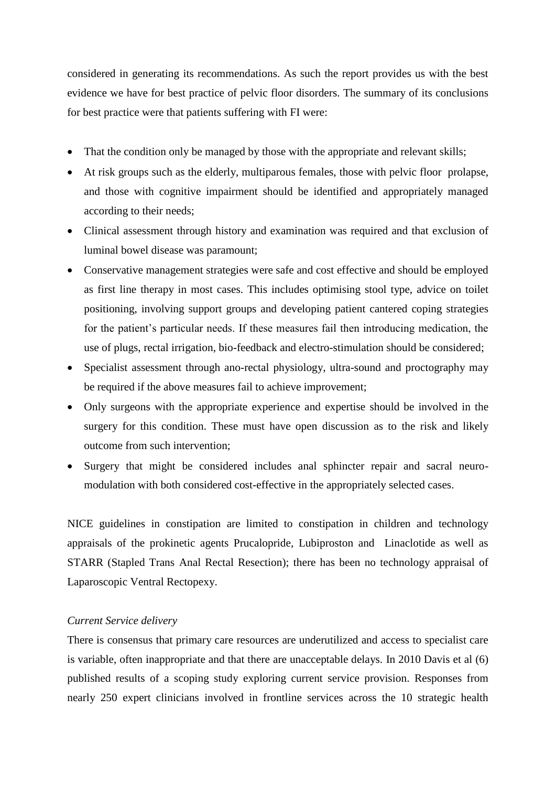considered in generating its recommendations. As such the report provides us with the best evidence we have for best practice of pelvic floor disorders. The summary of its conclusions for best practice were that patients suffering with FI were:

- That the condition only be managed by those with the appropriate and relevant skills;
- At risk groups such as the elderly, multiparous females, those with pelvic floor prolapse, and those with cognitive impairment should be identified and appropriately managed according to their needs;
- Clinical assessment through history and examination was required and that exclusion of luminal bowel disease was paramount;
- Conservative management strategies were safe and cost effective and should be employed as first line therapy in most cases. This includes optimising stool type, advice on toilet positioning, involving support groups and developing patient cantered coping strategies for the patient's particular needs. If these measures fail then introducing medication, the use of plugs, rectal irrigation, bio-feedback and electro-stimulation should be considered;
- Specialist assessment through ano-rectal physiology, ultra-sound and proctography may be required if the above measures fail to achieve improvement;
- Only surgeons with the appropriate experience and expertise should be involved in the surgery for this condition. These must have open discussion as to the risk and likely outcome from such intervention;
- Surgery that might be considered includes anal sphincter repair and sacral neuromodulation with both considered cost-effective in the appropriately selected cases.

NICE guidelines in constipation are limited to constipation in children and technology appraisals of the prokinetic agents Prucalopride, Lubiproston and Linaclotide as well as STARR (Stapled Trans Anal Rectal Resection); there has been no technology appraisal of Laparoscopic Ventral Rectopexy.

## *Current Service delivery*

There is consensus that primary care resources are underutilized and access to specialist care is variable, often inappropriate and that there are unacceptable delays. In 2010 Davis et al (6) published results of a scoping study exploring current service provision. Responses from nearly 250 expert clinicians involved in frontline services across the 10 strategic health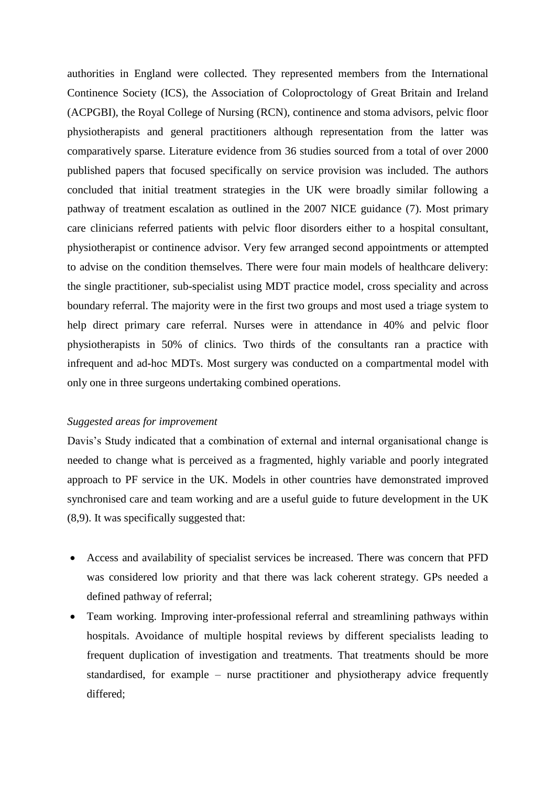authorities in England were collected. They represented members from the International Continence Society (ICS), the Association of Coloproctology of Great Britain and Ireland (ACPGBI), the Royal College of Nursing (RCN), continence and stoma advisors, pelvic floor physiotherapists and general practitioners although representation from the latter was comparatively sparse. Literature evidence from 36 studies sourced from a total of over 2000 published papers that focused specifically on service provision was included. The authors concluded that initial treatment strategies in the UK were broadly similar following a pathway of treatment escalation as outlined in the 2007 NICE guidance (7). Most primary care clinicians referred patients with pelvic floor disorders either to a hospital consultant, physiotherapist or continence advisor. Very few arranged second appointments or attempted to advise on the condition themselves. There were four main models of healthcare delivery: the single practitioner, sub-specialist using MDT practice model, cross speciality and across boundary referral. The majority were in the first two groups and most used a triage system to help direct primary care referral. Nurses were in attendance in 40% and pelvic floor physiotherapists in 50% of clinics. Two thirds of the consultants ran a practice with infrequent and ad-hoc MDTs. Most surgery was conducted on a compartmental model with only one in three surgeons undertaking combined operations.

#### *Suggested areas for improvement*

Davis's Study indicated that a combination of external and internal organisational change is needed to change what is perceived as a fragmented, highly variable and poorly integrated approach to PF service in the UK. Models in other countries have demonstrated improved synchronised care and team working and are a useful guide to future development in the UK (8,9). It was specifically suggested that:

- Access and availability of specialist services be increased. There was concern that PFD was considered low priority and that there was lack coherent strategy. GPs needed a defined pathway of referral;
- Team working. Improving inter-professional referral and streamlining pathways within hospitals. Avoidance of multiple hospital reviews by different specialists leading to frequent duplication of investigation and treatments. That treatments should be more standardised, for example – nurse practitioner and physiotherapy advice frequently differed;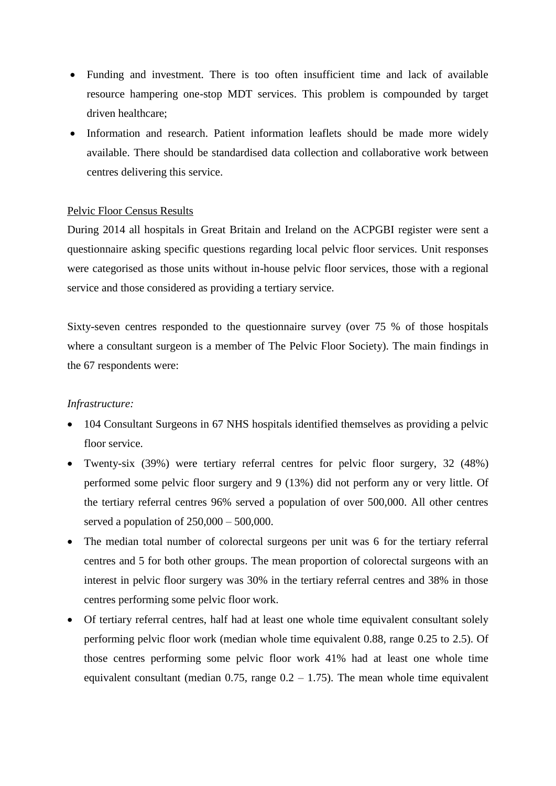- Funding and investment. There is too often insufficient time and lack of available resource hampering one-stop MDT services. This problem is compounded by target driven healthcare;
- Information and research. Patient information leaflets should be made more widely available. There should be standardised data collection and collaborative work between centres delivering this service.

## Pelvic Floor Census Results

During 2014 all hospitals in Great Britain and Ireland on the ACPGBI register were sent a questionnaire asking specific questions regarding local pelvic floor services. Unit responses were categorised as those units without in-house pelvic floor services, those with a regional service and those considered as providing a tertiary service.

Sixty-seven centres responded to the questionnaire survey (over 75 % of those hospitals where a consultant surgeon is a member of The Pelvic Floor Society). The main findings in the 67 respondents were:

#### *Infrastructure:*

- 104 Consultant Surgeons in 67 NHS hospitals identified themselves as providing a pelvic floor service.
- Twenty-six (39%) were tertiary referral centres for pelvic floor surgery, 32 (48%) performed some pelvic floor surgery and 9 (13%) did not perform any or very little. Of the tertiary referral centres 96% served a population of over 500,000. All other centres served a population of  $250,000 - 500,000$ .
- The median total number of colorectal surgeons per unit was 6 for the tertiary referral centres and 5 for both other groups. The mean proportion of colorectal surgeons with an interest in pelvic floor surgery was 30% in the tertiary referral centres and 38% in those centres performing some pelvic floor work.
- Of tertiary referral centres, half had at least one whole time equivalent consultant solely performing pelvic floor work (median whole time equivalent 0.88, range 0.25 to 2.5). Of those centres performing some pelvic floor work 41% had at least one whole time equivalent consultant (median  $0.75$ , range  $0.2 - 1.75$ ). The mean whole time equivalent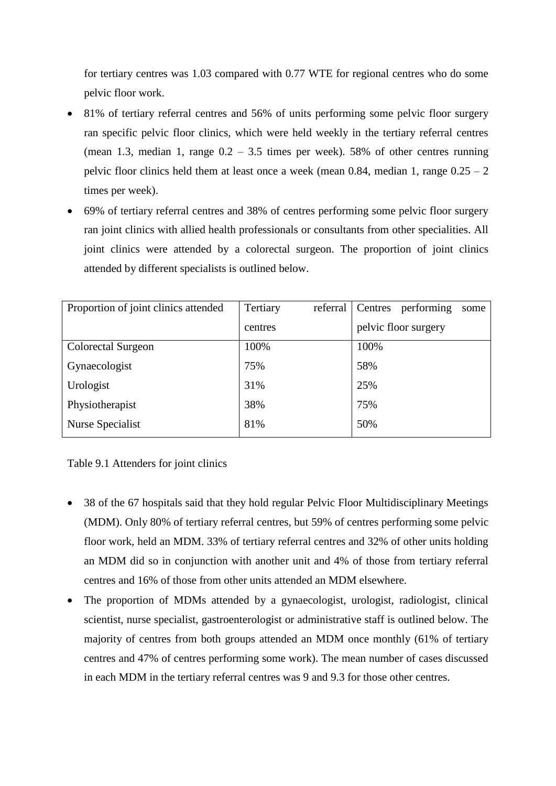for tertiary centres was 1.03 compared with 0.77 WTE for regional centres who do some pelvic floor work.

- 81% of tertiary referral centres and 56% of units performing some pelvic floor surgery ran specific pelvic floor clinics, which were held weekly in the tertiary referral centres (mean 1.3, median 1, range  $0.2 - 3.5$  times per week). 58% of other centres running pelvic floor clinics held them at least once a week (mean 0.84, median 1, range  $0.25 - 2$ ) times per week).
- 69% of tertiary referral centres and 38% of centres performing some pelvic floor surgery ran joint clinics with allied health professionals or consultants from other specialities. All joint clinics were attended by a colorectal surgeon. The proportion of joint clinics attended by different specialists is outlined below.

| Proportion of joint clinics attended | Tertiary | referral | Centres | performing           | some |
|--------------------------------------|----------|----------|---------|----------------------|------|
|                                      | centres  |          |         | pelvic floor surgery |      |
| Colorectal Surgeon                   | 100%     |          | 100%    |                      |      |
| Gynaecologist                        | 75%      |          | 58%     |                      |      |
| Urologist                            | 31%      |          | 25%     |                      |      |
| Physiotherapist                      | 38%      |          | 75%     |                      |      |
| Nurse Specialist                     | 81%      |          | 50%     |                      |      |

Table 9.1 Attenders for joint clinics

- 38 of the 67 hospitals said that they hold regular Pelvic Floor Multidisciplinary Meetings (MDM). Only 80% of tertiary referral centres, but 59% of centres performing some pelvic floor work, held an MDM. 33% of tertiary referral centres and 32% of other units holding an MDM did so in conjunction with another unit and 4% of those from tertiary referral centres and 16% of those from other units attended an MDM elsewhere.
- The proportion of MDMs attended by a gynaecologist, urologist, radiologist, clinical scientist, nurse specialist, gastroenterologist or administrative staff is outlined below. The majority of centres from both groups attended an MDM once monthly (61% of tertiary centres and 47% of centres performing some work). The mean number of cases discussed in each MDM in the tertiary referral centres was 9 and 9.3 for those other centres.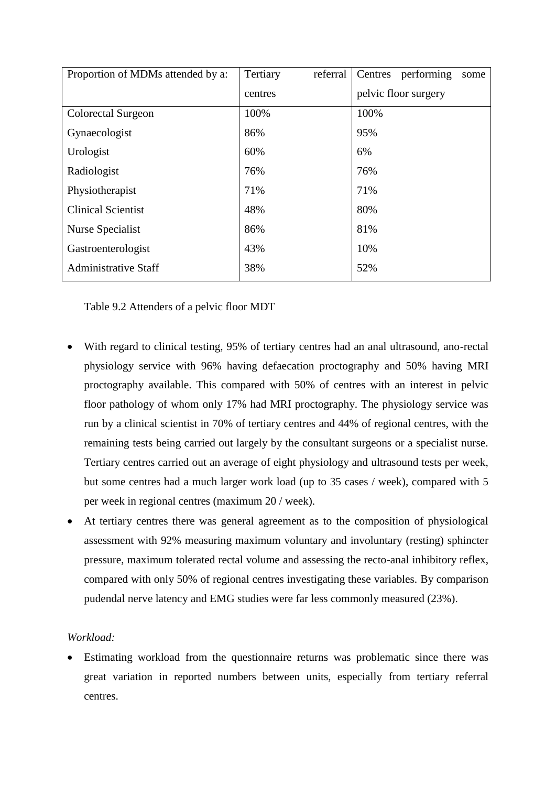| Proportion of MDMs attended by a: | Tertiary | referral | Centres | performing           | some |
|-----------------------------------|----------|----------|---------|----------------------|------|
|                                   | centres  |          |         | pelvic floor surgery |      |
| Colorectal Surgeon                | 100%     |          | 100%    |                      |      |
| Gynaecologist                     | 86%      |          | 95%     |                      |      |
| Urologist                         | 60%      |          | 6%      |                      |      |
| Radiologist                       | 76%      |          | 76%     |                      |      |
| Physiotherapist                   | 71%      |          | 71%     |                      |      |
| <b>Clinical Scientist</b>         | 48%      |          | 80%     |                      |      |
| Nurse Specialist                  | 86%      |          | 81%     |                      |      |
| Gastroenterologist                | 43%      |          | 10%     |                      |      |
| <b>Administrative Staff</b>       | 38%      |          | 52%     |                      |      |

Table 9.2 Attenders of a pelvic floor MDT

- With regard to clinical testing, 95% of tertiary centres had an anal ultrasound, ano-rectal physiology service with 96% having defaecation proctography and 50% having MRI proctography available. This compared with 50% of centres with an interest in pelvic floor pathology of whom only 17% had MRI proctography. The physiology service was run by a clinical scientist in 70% of tertiary centres and 44% of regional centres, with the remaining tests being carried out largely by the consultant surgeons or a specialist nurse. Tertiary centres carried out an average of eight physiology and ultrasound tests per week, but some centres had a much larger work load (up to 35 cases / week), compared with 5 per week in regional centres (maximum 20 / week).
- At tertiary centres there was general agreement as to the composition of physiological assessment with 92% measuring maximum voluntary and involuntary (resting) sphincter pressure, maximum tolerated rectal volume and assessing the recto-anal inhibitory reflex, compared with only 50% of regional centres investigating these variables. By comparison pudendal nerve latency and EMG studies were far less commonly measured (23%).

## *Workload:*

 Estimating workload from the questionnaire returns was problematic since there was great variation in reported numbers between units, especially from tertiary referral centres.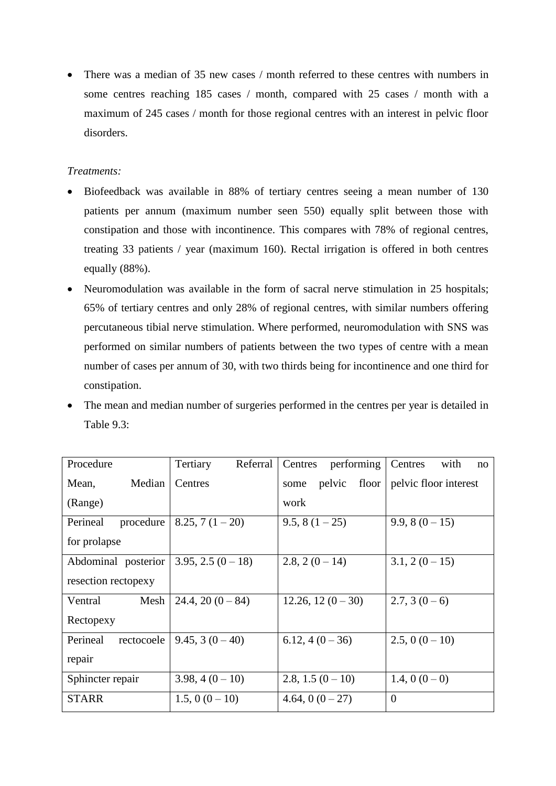• There was a median of 35 new cases / month referred to these centres with numbers in some centres reaching 185 cases / month, compared with 25 cases / month with a maximum of 245 cases / month for those regional centres with an interest in pelvic floor disorders.

# *Treatments:*

- Biofeedback was available in 88% of tertiary centres seeing a mean number of 130 patients per annum (maximum number seen 550) equally split between those with constipation and those with incontinence. This compares with 78% of regional centres, treating 33 patients / year (maximum 160). Rectal irrigation is offered in both centres equally (88%).
- Neuromodulation was available in the form of sacral nerve stimulation in 25 hospitals; 65% of tertiary centres and only 28% of regional centres, with similar numbers offering percutaneous tibial nerve stimulation. Where performed, neuromodulation with SNS was performed on similar numbers of patients between the two types of centre with a mean number of cases per annum of 30, with two thirds being for incontinence and one third for constipation.
- The mean and median number of surgeries performed in the centres per year is detailed in Table 9.3:

| Procedure              | Tertiary<br>Referral | Centres<br>performing   | Centres<br>with<br>no |
|------------------------|----------------------|-------------------------|-----------------------|
| Median<br>Mean,        | Centres              | pelvic<br>floor<br>some | pelvic floor interest |
| (Range)                |                      | work                    |                       |
| Perineal<br>procedure  | $8.25, 7(1-20)$      | $9.5, 8(1-25)$          | $9.9, 8(0-15)$        |
| for prolapse           |                      |                         |                       |
| Abdominal posterior    | $3.95, 2.5(0-18)$    | $2.8, 2(0-14)$          | $3.1, 2(0-15)$        |
| resection rectopexy    |                      |                         |                       |
| Mesh<br>Ventral        | $24.4, 20(0-84)$     | $12.26, 12(0-30)$       | $2.7, 3(0-6)$         |
| Rectopexy              |                      |                         |                       |
| Perineal<br>rectocoele | $9.45, 3(0-40)$      | $6.12, 4(0-36)$         | $2.5, 0(0-10)$        |
| repair                 |                      |                         |                       |
| Sphincter repair       | $3.98, 4(0-10)$      | 2.8, 1.5 $(0-10)$       | 1.4, 0 $(0-0)$        |
| <b>STARR</b>           | $1.5, 0(0-10)$       | 4.64, 0 $(0-27)$        | $\overline{0}$        |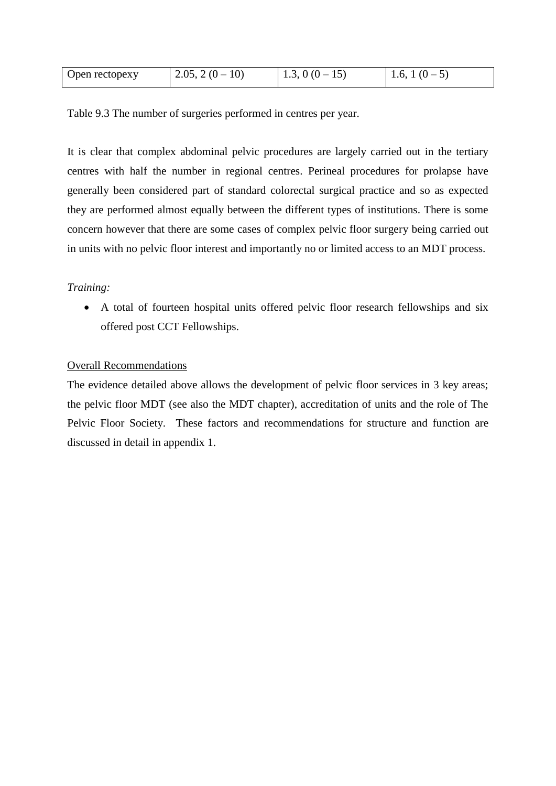| Open rectopexy | $2.05, 2(0-10)$ | $1.3, 0(0-15)$ | $1(0-$<br>1.6, 1 |
|----------------|-----------------|----------------|------------------|
|                |                 |                |                  |

Table 9.3 The number of surgeries performed in centres per year.

It is clear that complex abdominal pelvic procedures are largely carried out in the tertiary centres with half the number in regional centres. Perineal procedures for prolapse have generally been considered part of standard colorectal surgical practice and so as expected they are performed almost equally between the different types of institutions. There is some concern however that there are some cases of complex pelvic floor surgery being carried out in units with no pelvic floor interest and importantly no or limited access to an MDT process.

# *Training:*

 A total of fourteen hospital units offered pelvic floor research fellowships and six offered post CCT Fellowships.

# Overall Recommendations

The evidence detailed above allows the development of pelvic floor services in 3 key areas; the pelvic floor MDT (see also the MDT chapter), accreditation of units and the role of The Pelvic Floor Society. These factors and recommendations for structure and function are discussed in detail in appendix 1.